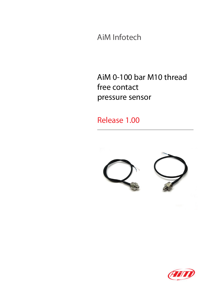AiM Infotech

## AiM 0-100 bar M10 thread free contact pressure sensor

## Release 1.00



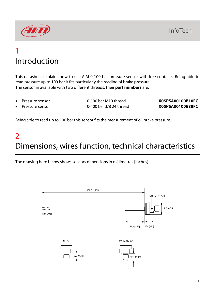

## 1 Introduction

This datasheet explains how to use AiM 0-100 bar pressure sensor with free contacts. Being able to read pressure up to 100 bar it fits particularly the reading of brake pressure. The sensor in available with two different threads; their **part numbers** are:

- 
- Pressure sensor 0-100 bar M10 thread **X05PSA00100B10FC**

• Pressure sensor 0-100 bar 3/8 24 thread **X05PSA00100B38FC**

Being able to read up to 100 bar this sensor fits the measurement of oil brake pressure.

## $\overline{\mathcal{L}}$ Dimensions, wires function, technical characteristics

The drawing here below shows sensors dimensions in millimetres [inches].